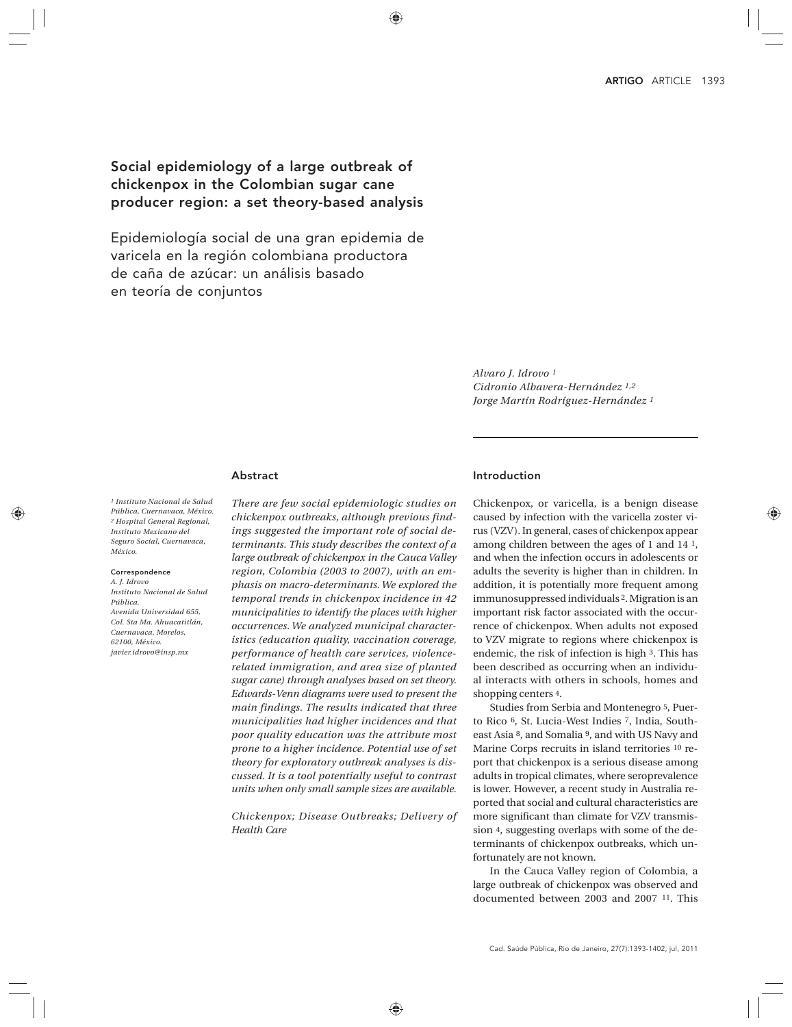# Social epidemiology of a large outbreak of chickenpox in the Colombian sugar cane producer region: a set theory-based analysis

Epidemiología social de una gran epidemia de varicela en la región colombiana productora de caña de azúcar: un análisis basado en teoría de conjuntos

> *Alvaro J. Idrovo 1 Cidronio Albavera-Hernández 1,2 Jorge Martín Rodríguez-Hernández 1*

# Abstract

*1 Instituto Nacional de Salud Pública, Cuernavaca, México. 2 Hospital General Regional, Instituto Mexicano del Seguro Social, Cuernavaca, México.*

#### Correspondence

*A. J. Idrovo Instituto Nacional de Salud Pública. Avenida Universidad 655, Col. Sta Ma. Ahuacatitlán, Cuernavaca, Morelos, 62100, México. javier.idrovo@insp.mx*

*There are few social epidemiologic studies on chickenpox outbreaks, although previous findings suggested the important role of social determinants. This study describes the context of a large outbreak of chickenpox in the Cauca Valley region, Colombia (2003 to 2007), with an emphasis on macro-determinants. We explored the temporal trends in chickenpox incidence in 42 municipalities to identify the places with higher occurrences. We analyzed municipal characteristics (education quality, vaccination coverage, performance of health care services, violencerelated immigration, and area size of planted sugar cane) through analyses based on set theory. Edwards-Venn diagrams were used to present the main findings. The results indicated that three municipalities had higher incidences and that poor quality education was the attribute most prone to a higher incidence. Potential use of set theory for exploratory outbreak analyses is discussed. It is a tool potentially useful to contrast units when only small sample sizes are available.*

*Chickenpox; Disease Outbreaks; Delivery of Health Care*

### Introduction

Chickenpox, or varicella, is a benign disease caused by infection with the varicella zoster virus (VZV). In general, cases of chickenpox appear among children between the ages of 1 and 14 1, and when the infection occurs in adolescents or adults the severity is higher than in children. In addition, it is potentially more frequent among immunosuppressed individuals 2. Migration is an important risk factor associated with the occurrence of chickenpox. When adults not exposed to VZV migrate to regions where chickenpox is endemic, the risk of infection is high 3. This has been described as occurring when an individual interacts with others in schools, homes and shopping centers 4.

Studies from Serbia and Montenegro 5, Puerto Rico 6, St. Lucia-West Indies 7, India, Southeast Asia 8, and Somalia 9, and with US Navy and Marine Corps recruits in island territories 10 report that chickenpox is a serious disease among adults in tropical climates, where seroprevalence is lower. However, a recent study in Australia reported that social and cultural characteristics are more significant than climate for VZV transmission 4, suggesting overlaps with some of the determinants of chickenpox outbreaks, which unfortunately are not known.

In the Cauca Valley region of Colombia, a large outbreak of chickenpox was observed and documented between 2003 and 2007 11. This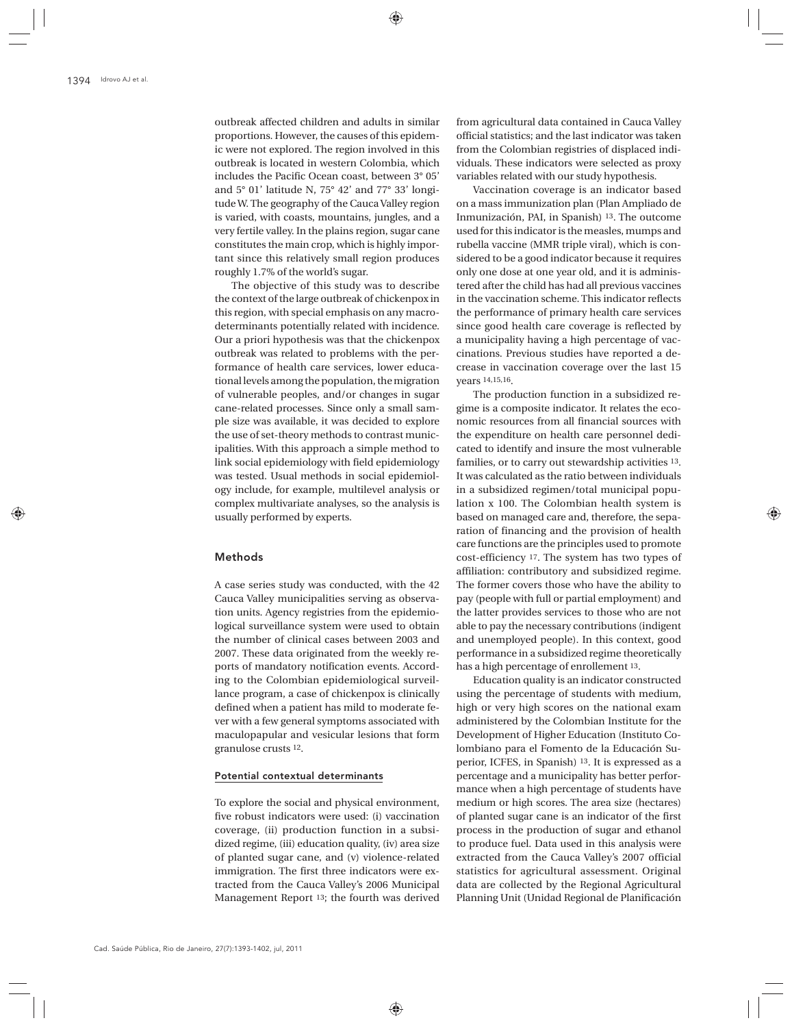outbreak affected children and adults in similar proportions. However, the causes of this epidemic were not explored. The region involved in this outbreak is located in western Colombia, which includes the Pacific Ocean coast, between 3° 05' and 5° 01' latitude N, 75° 42' and 77° 33' longitude W. The geography of the Cauca Valley region is varied, with coasts, mountains, jungles, and a very fertile valley. In the plains region, sugar cane constitutes the main crop, which is highly important since this relatively small region produces roughly 1.7% of the world's sugar.

The objective of this study was to describe the context of the large outbreak of chickenpox in this region, with special emphasis on any macrodeterminants potentially related with incidence. Our a priori hypothesis was that the chickenpox outbreak was related to problems with the performance of health care services, lower educational levels among the population, the migration of vulnerable peoples, and/or changes in sugar cane-related processes. Since only a small sample size was available, it was decided to explore the use of set-theory methods to contrast municipalities. With this approach a simple method to link social epidemiology with field epidemiology was tested. Usual methods in social epidemiology include, for example, multilevel analysis or complex multivariate analyses, so the analysis is usually performed by experts.

## Methods

A case series study was conducted, with the 42 Cauca Valley municipalities serving as observation units. Agency registries from the epidemiological surveillance system were used to obtain the number of clinical cases between 2003 and 2007. These data originated from the weekly reports of mandatory notification events. According to the Colombian epidemiological surveillance program, a case of chickenpox is clinically defined when a patient has mild to moderate fever with a few general symptoms associated with maculopapular and vesicular lesions that form granulose crusts 12.

#### Potential contextual determinants

To explore the social and physical environment, five robust indicators were used: (i) vaccination coverage, (ii) production function in a subsidized regime, (iii) education quality, (iv) area size of planted sugar cane, and (v) violence-related immigration. The first three indicators were extracted from the Cauca Valley's 2006 Municipal Management Report 13; the fourth was derived

from agricultural data contained in Cauca Valley official statistics; and the last indicator was taken from the Colombian registries of displaced individuals. These indicators were selected as proxy variables related with our study hypothesis.

Vaccination coverage is an indicator based on a mass immunization plan (Plan Ampliado de Inmunización, PAI, in Spanish) 13. The outcome used for this indicator is the measles, mumps and rubella vaccine (MMR triple viral), which is considered to be a good indicator because it requires only one dose at one year old, and it is administered after the child has had all previous vaccines in the vaccination scheme. This indicator reflects the performance of primary health care services since good health care coverage is reflected by a municipality having a high percentage of vaccinations. Previous studies have reported a decrease in vaccination coverage over the last 15 years 14,15,16.

The production function in a subsidized regime is a composite indicator. It relates the economic resources from all financial sources with the expenditure on health care personnel dedicated to identify and insure the most vulnerable families, or to carry out stewardship activities 13. It was calculated as the ratio between individuals in a subsidized regimen/total municipal population x 100. The Colombian health system is based on managed care and, therefore, the separation of financing and the provision of health care functions are the principles used to promote cost-efficiency 17. The system has two types of affiliation: contributory and subsidized regime. The former covers those who have the ability to pay (people with full or partial employment) and the latter provides services to those who are not able to pay the necessary contributions (indigent and unemployed people). In this context, good performance in a subsidized regime theoretically has a high percentage of enrollement 13.

Education quality is an indicator constructed using the percentage of students with medium, high or very high scores on the national exam administered by the Colombian Institute for the Development of Higher Education (Instituto Colombiano para el Fomento de la Educación Superior, ICFES, in Spanish) 13. It is expressed as a percentage and a municipality has better performance when a high percentage of students have medium or high scores. The area size (hectares) of planted sugar cane is an indicator of the first process in the production of sugar and ethanol to produce fuel. Data used in this analysis were extracted from the Cauca Valley's 2007 official statistics for agricultural assessment. Original data are collected by the Regional Agricultural Planning Unit (Unidad Regional de Planificación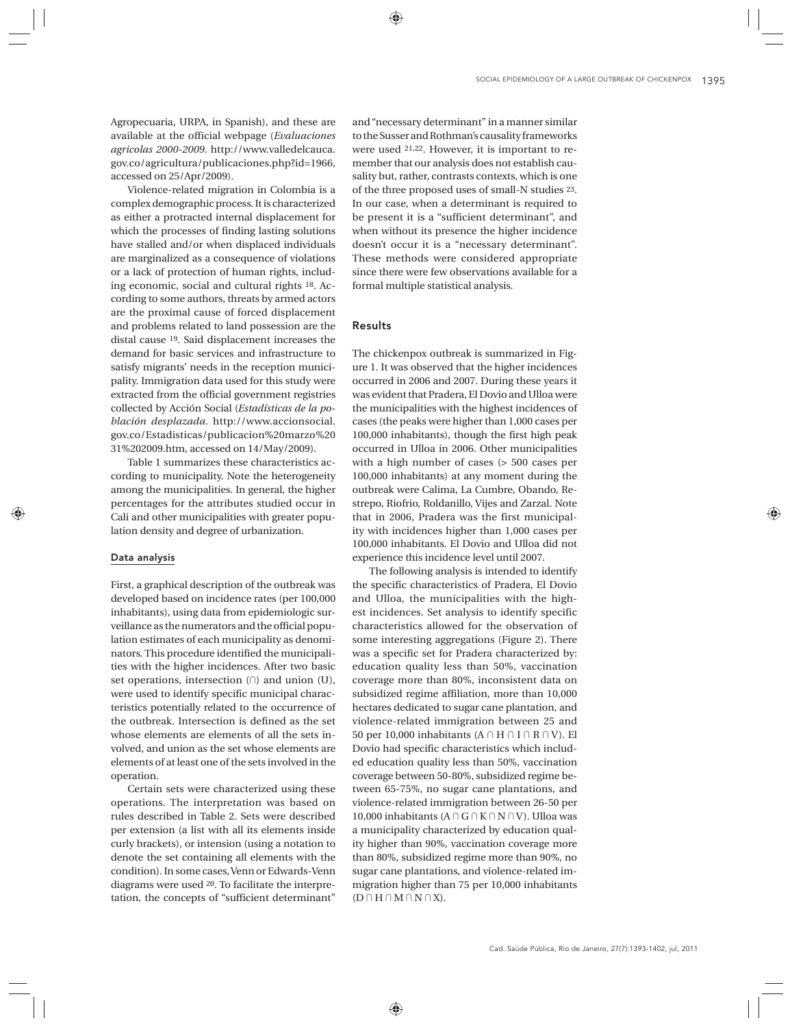Agropecuaria, URPA, in Spanish), and these are available at the official webpage (*Evaluaciones agricolas 2000-2009*. http://www.valledelcauca. gov.co/agricultura/publicaciones.php?id=1966, accessed on 25/Apr/2009).

Violence-related migration in Colombia is a complex demographic process. It is characterized as either a protracted internal displacement for which the processes of finding lasting solutions have stalled and/or when displaced individuals are marginalized as a consequence of violations or a lack of protection of human rights, including economic, social and cultural rights 18. According to some authors, threats by armed actors are the proximal cause of forced displacement and problems related to land possession are the distal cause 19. Said displacement increases the demand for basic services and infrastructure to satisfy migrants' needs in the reception municipality. Immigration data used for this study were extracted from the official government registries collected by Acción Social (*Estadísticas de la población desplazada*. http://www.accionsocial. gov.co/Estadisticas/publicacion%20marzo%20 31%202009.htm, accessed on 14/May/2009).

Table 1 summarizes these characteristics according to municipality. Note the heterogeneity among the municipalities. In general, the higher percentages for the attributes studied occur in Cali and other municipalities with greater population density and degree of urbanization.

# Data analysis

First, a graphical description of the outbreak was developed based on incidence rates (per 100,000 inhabitants), using data from epidemiologic surveillance as the numerators and the official population estimates of each municipality as denominators. This procedure identified the municipalities with the higher incidences. After two basic set operations, intersection  $(1)$  and union  $(U)$ , were used to identify specific municipal characteristics potentially related to the occurrence of the outbreak. Intersection is defined as the set whose elements are elements of all the sets involved, and union as the set whose elements are elements of at least one of the sets involved in the operation.

Certain sets were characterized using these operations. The interpretation was based on rules described in Table 2. Sets were described per extension (a list with all its elements inside curly brackets), or intension (using a notation to denote the set containing all elements with the condition). In some cases, Venn or Edwards-Venn diagrams were used 20. To facilitate the interpretation, the concepts of "sufficient determinant"

and "necessary determinant" in a manner similar to the Susser and Rothman's causality frameworks were used 21,22. However, it is important to remember that our analysis does not establish causality but, rather, contrasts contexts, which is one of the three proposed uses of small-N studies 23. In our case, when a determinant is required to be present it is a "sufficient determinant", and when without its presence the higher incidence doesn't occur it is a "necessary determinant". These methods were considered appropriate since there were few observations available for a formal multiple statistical analysis.

# Results

The chickenpox outbreak is summarized in Figure 1. It was observed that the higher incidences occurred in 2006 and 2007. During these years it was evident that Pradera, El Dovio and Ulloa were the municipalities with the highest incidences of cases (the peaks were higher than 1,000 cases per 100,000 inhabitants), though the first high peak occurred in Ulloa in 2006. Other municipalities with a high number of cases (> 500 cases per 100,000 inhabitants) at any moment during the outbreak were Calima, La Cumbre, Obando, Restrepo, Riofrio, Roldanillo, Vijes and Zarzal. Note that in 2006, Pradera was the first municipality with incidences higher than 1,000 cases per 100,000 inhabitants. El Dovio and Ulloa did not experience this incidence level until 2007.

The following analysis is intended to identify the specific characteristics of Pradera, El Dovio and Ulloa, the municipalities with the highest incidences. Set analysis to identify specific characteristics allowed for the observation of some interesting aggregations (Figure 2). There was a specific set for Pradera characterized by: education quality less than 50%, vaccination coverage more than 80%, inconsistent data on subsidized regime affiliation, more than 10,000 hectares dedicated to sugar cane plantation, and violence-related immigration between 25 and 50 per 10,000 inhabitants ( $A \cap H \cap I \cap R \cap V$ ). El Dovio had specific characteristics which included education quality less than 50%, vaccination coverage between 50-80%, subsidized regime between 65-75%, no sugar cane plantations, and violence-related immigration between 26-50 per 10,000 inhabitants ( $A \cap G \cap K \cap N \cap V$ ). Ulloa was a municipality characterized by education quality higher than 90%, vaccination coverage more than 80%, subsidized regime more than 90%, no sugar cane plantations, and violence-related immigration higher than 75 per 10,000 inhabitants  $(D \cap H \cap M \cap N \cap X)$ .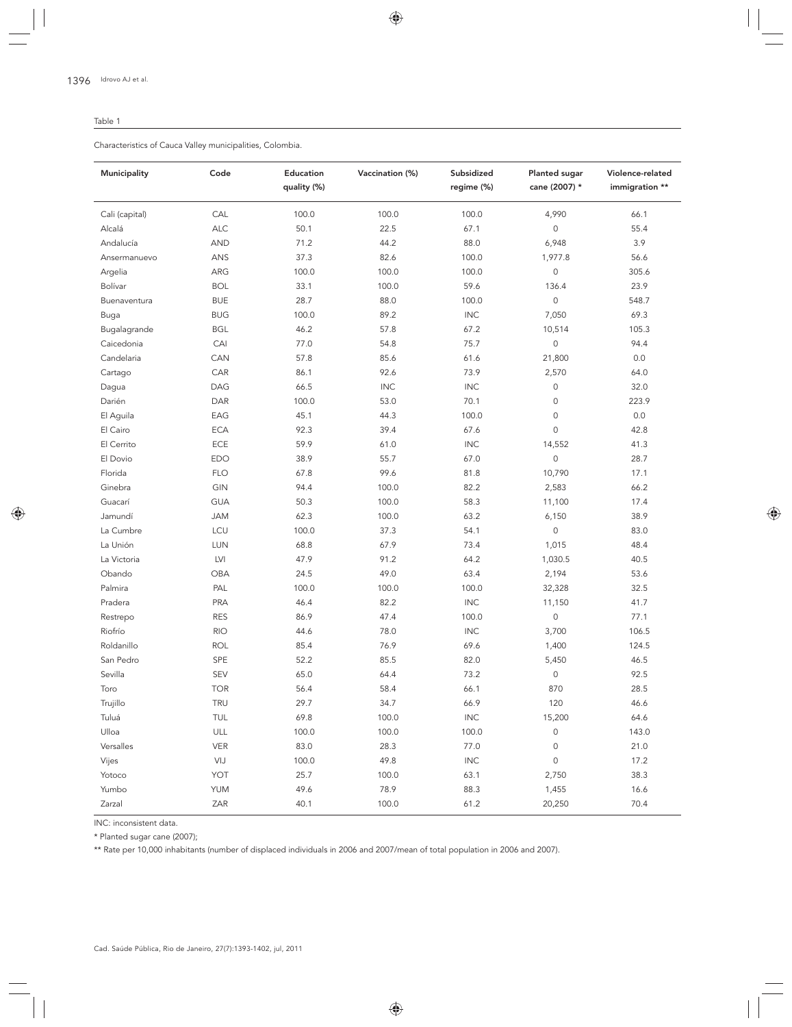#### Table 1

Characteristics of Cauca Valley municipalities, Colombia.

| Municipality   | Code       | Education<br>quality (%) | Vaccination (%) | Subsidized<br>regime (%) | Planted sugar<br>cane (2007) * | Violence-related<br>immigration ** |
|----------------|------------|--------------------------|-----------------|--------------------------|--------------------------------|------------------------------------|
| Cali (capital) | CAL        | 100.0                    | 100.0           | 100.0                    | 4,990                          | 66.1                               |
| Alcalá         | <b>ALC</b> | 50.1                     | 22.5            | 67.1                     | 0                              | 55.4                               |
| Andalucía      | <b>AND</b> | 71.2                     | 44.2            | 88.0                     | 6,948                          | 3.9                                |
| Ansermanuevo   | ANS        | 37.3                     | 82.6            | 100.0                    | 1,977.8                        | 56.6                               |
| Argelia        | ARG        | 100.0                    | 100.0           | 100.0                    | $\mathsf{O}\xspace$            | 305.6                              |
| Bolívar        | <b>BOL</b> | 33.1                     | 100.0           | 59.6                     | 136.4                          | 23.9                               |
| Buenaventura   | <b>BUE</b> | 28.7                     | 88.0            | 100.0                    | 0                              | 548.7                              |
| Buga           | <b>BUG</b> | 100.0                    | 89.2            | <b>INC</b>               | 7,050                          | 69.3                               |
| Bugalagrande   | <b>BGL</b> | 46.2                     | 57.8            | 67.2                     | 10,514                         | 105.3                              |
| Caicedonia     | CAI        | 77.0                     | 54.8            | 75.7                     | $\mathsf{O}\xspace$            | 94.4                               |
| Candelaria     | CAN        | 57.8                     | 85.6            | 61.6                     | 21,800                         | 0.0                                |
| Cartago        | CAR        | 86.1                     | 92.6            | 73.9                     | 2,570                          | 64.0                               |
| Dagua          | DAG        | 66.5                     | <b>INC</b>      | <b>INC</b>               | $\mathsf{O}\xspace$            | 32.0                               |
| Darién         | DAR        | 100.0                    | 53.0            | 70.1                     | $\mathsf{O}\xspace$            | 223.9                              |
| El Aguila      | EAG        | 45.1                     | 44.3            | 100.0                    | $\mathsf{O}\xspace$            | 0.0                                |
| El Cairo       | <b>ECA</b> | 92.3                     | 39.4            | 67.6                     | 0                              | 42.8                               |
| El Cerrito     | ECE        | 59.9                     | 61.0            | <b>INC</b>               | 14,552                         | 41.3                               |
| El Dovio       | <b>EDO</b> | 38.9                     | 55.7            | 67.0                     | $\mathsf O$                    | 28.7                               |
| Florida        | <b>FLO</b> | 67.8                     | 99.6            | 81.8                     | 10,790                         | 17.1                               |
| Ginebra        | GIN        | 94.4                     | 100.0           | 82.2                     | 2,583                          | 66.2                               |
| Guacarí        | <b>GUA</b> | 50.3                     | 100.0           | 58.3                     | 11,100                         | 17.4                               |
| Jamundí        | <b>JAM</b> | 62.3                     | 100.0           | 63.2                     | 6,150                          | 38.9                               |
| La Cumbre      | LCU        | 100.0                    | 37.3            | 54.1                     | $\mathbf 0$                    | 83.0                               |
| La Unión       | LUN        | 68.8                     | 67.9            | 73.4                     | 1,015                          | 48.4                               |
| La Victoria    | LVI        | 47.9                     | 91.2            | 64.2                     | 1,030.5                        | 40.5                               |
| Obando         | OBA        | 24.5                     | 49.0            | 63.4                     | 2,194                          | 53.6                               |
| Palmira        | PAL        | 100.0                    | 100.0           | 100.0                    | 32,328                         | 32.5                               |
| Pradera        | PRA        | 46.4                     | 82.2            | <b>INC</b>               | 11,150                         | 41.7                               |
| Restrepo       | <b>RES</b> | 86.9                     | 47.4            | 100.0                    | $\mathbf 0$                    | 77.1                               |
| Riofrío        | <b>RIO</b> | 44.6                     | 78.0            | <b>INC</b>               | 3,700                          | 106.5                              |
| Roldanillo     | <b>ROL</b> | 85.4                     | 76.9            | 69.6                     | 1,400                          | 124.5                              |
| San Pedro      | SPE        | 52.2                     | 85.5            | 82.0                     | 5,450                          | 46.5                               |
| Sevilla        | <b>SEV</b> | 65.0                     | 64.4            | 73.2                     | 0                              | 92.5                               |
| Toro           | <b>TOR</b> | 56.4                     | 58.4            | 66.1                     | 870                            | 28.5                               |
| Trujillo       | TRU        | 29.7                     | 34.7            | 66.9                     | 120                            | 46.6                               |
| Tuluá          | TUL        | 69.8                     | 100.0           | $\mathsf{INC}$           | 15,200                         | 64.6                               |
| Ulloa          | ULL        | 100.0                    | 100.0           | 100.0                    | $\mathsf{O}\xspace$            | 143.0                              |
| Versalles      | <b>VER</b> | 83.0                     | 28.3            | 77.0                     | $\mathsf{O}\xspace$            | 21.0                               |
| Vijes          | VIJ        | 100.0                    | 49.8            | <b>INC</b>               | $\mathsf{O}\xspace$            | 17.2                               |
| Yotoco         | YOT        | 25.7                     | 100.0           | 63.1                     | 2,750                          | 38.3                               |
| Yumbo          | <b>YUM</b> | 49.6                     | 78.9            | 88.3                     | 1,455                          | 16.6                               |
| Zarzal         | ZAR        | 40.1                     | 100.0           | 61.2                     | 20,250                         | 70.4                               |

INC: inconsistent data.

\* Planted sugar cane (2007);

\*\* Rate per 10,000 inhabitants (number of displaced individuals in 2006 and 2007/mean of total population in 2006 and 2007).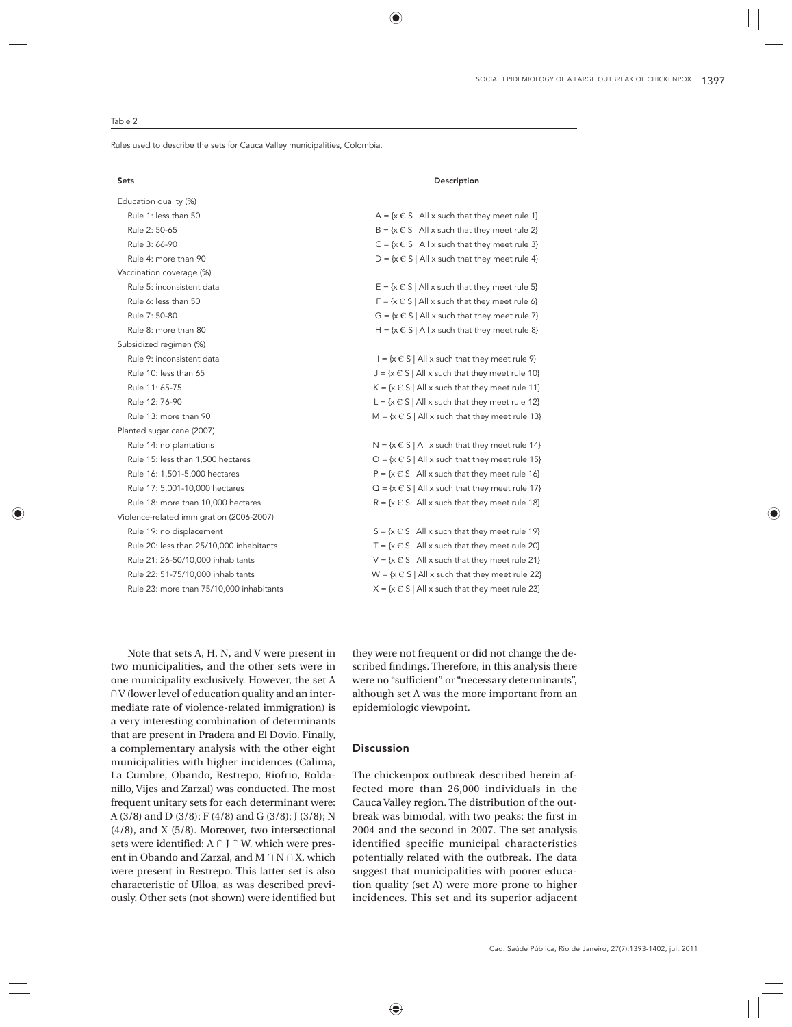Rules used to describe the sets for Cauca Valley municipalities, Colombia.

| <b>Sets</b>                              | Description                                                          |  |  |  |
|------------------------------------------|----------------------------------------------------------------------|--|--|--|
| Education quality (%)                    |                                                                      |  |  |  |
| Rule 1: less than 50                     | $A = \{x \in S \mid All x \text{ such that they meet rule 1}\}$      |  |  |  |
| Rule 2: 50-65                            | $B = \{x \in S \mid A \mid x \text{ such that they meet rule } 2\}$  |  |  |  |
| Rule 3: 66-90                            | $C = \{x \in S \mid A   x \text{ such that they meet rule } 3\}$     |  |  |  |
| Rule 4: more than 90                     | $D = \{x \in S \mid A \mid x \text{ such that they meet rule 4}\}\$  |  |  |  |
| Vaccination coverage (%)                 |                                                                      |  |  |  |
| Rule 5: inconsistent data                | $E = \{x \in S \mid A \mid x \text{ such that they meet rule } 5\}$  |  |  |  |
| Rule 6: less than 50                     | $F = \{x \in S \mid A \mid x \text{ such that they meet rule } 6\}$  |  |  |  |
| Rule 7: 50-80                            | $G = \{x \in S \mid All x \text{ such that they meet rule } 7\}$     |  |  |  |
| Rule 8: more than 80                     | H = $\{x \in S \mid A\  x \text{ such that they meet rule } 8\}$     |  |  |  |
| Subsidized regimen (%)                   |                                                                      |  |  |  |
| Rule 9: inconsistent data                | $I = \{x \in S \mid A\  x \text{ such that they meet rule } 9\}$     |  |  |  |
| Rule 10: less than 65                    | $J = \{x \in S \mid All x \text{ such that they meet rule 10}\}$     |  |  |  |
| Rule 11: 65-75                           | $K = \{x \in S \mid All x \text{ such that they meet rule 11}\}\$    |  |  |  |
| Rule 12: 76-90                           | L = $\{x \in S \mid A\  x \text{ such that they meet rule } 12\}$    |  |  |  |
| Rule 13: more than 90                    | M = $\{x \in S \mid A\  x \text{ such that they meet rule } 13\}$    |  |  |  |
| Planted sugar cane (2007)                |                                                                      |  |  |  |
| Rule 14: no plantations                  | $N = {x \in S   All x such that they meet rule 14}$                  |  |  |  |
| Rule 15: less than 1,500 hectares        | $O = \{x \in S   All x such that they meet rule 15\}$                |  |  |  |
| Rule 16: 1,501-5,000 hectares            | $P = \{x \in S \mid All \times such that they meet rule 16\}$        |  |  |  |
| Rule 17: 5,001-10,000 hectares           | $Q = \{x \in S \mid All x \text{ such that they meet rule 17}\}\$    |  |  |  |
| Rule 18: more than 10,000 hectares       | $R = \{x \in S \mid All x \text{ such that they meet rule 18}\}\$    |  |  |  |
| Violence-related immigration (2006-2007) |                                                                      |  |  |  |
| Rule 19: no displacement                 | $S = \{x \in S \mid All x \text{ such that they meet rule 19}\}\$    |  |  |  |
| Rule 20: less than 25/10,000 inhabitants | T = $\{x \in S \mid A\  x \text{ such that they meet rule } 20\}$    |  |  |  |
| Rule 21: 26-50/10,000 inhabitants        | $V = {x \in S   All x such that they meet rule 21}$                  |  |  |  |
| Rule 22: 51-75/10,000 inhabitants        | $W = \{x \in S \mid A \mid x \text{ such that they meet rule } 22\}$ |  |  |  |
| Rule 23: more than 75/10,000 inhabitants | $X = \{x \in S \mid A\  x \text{ such that they meet rule } 23\}$    |  |  |  |

Note that sets A, H, N, and V were present in two municipalities, and the other sets were in one municipality exclusively. However, the set A  $\bigcap V$  (lower level of education quality and an intermediate rate of violence-related immigration) is a very interesting combination of determinants that are present in Pradera and El Dovio. Finally, a complementary analysis with the other eight municipalities with higher incidences (Calima, La Cumbre, Obando, Restrepo, Riofrio, Roldanillo, Vijes and Zarzal) was conducted. The most frequent unitary sets for each determinant were: A (3/8) and D (3/8); F (4/8) and G (3/8); J (3/8); N (4/8), and X (5/8). Moreover, two intersectional sets were identified:  $A \cap J \cap W$ , which were present in Obando and Zarzal, and  $M \cap N \cap X$ , which were present in Restrepo. This latter set is also characteristic of Ulloa, as was described previously. Other sets (not shown) were identified but they were not frequent or did not change the described findings. Therefore, in this analysis there were no "sufficient" or "necessary determinants", although set A was the more important from an epidemiologic viewpoint.

## Discussion

The chickenpox outbreak described herein affected more than 26,000 individuals in the Cauca Valley region. The distribution of the outbreak was bimodal, with two peaks: the first in 2004 and the second in 2007. The set analysis identified specific municipal characteristics potentially related with the outbreak. The data suggest that municipalities with poorer education quality (set A) were more prone to higher incidences. This set and its superior adjacent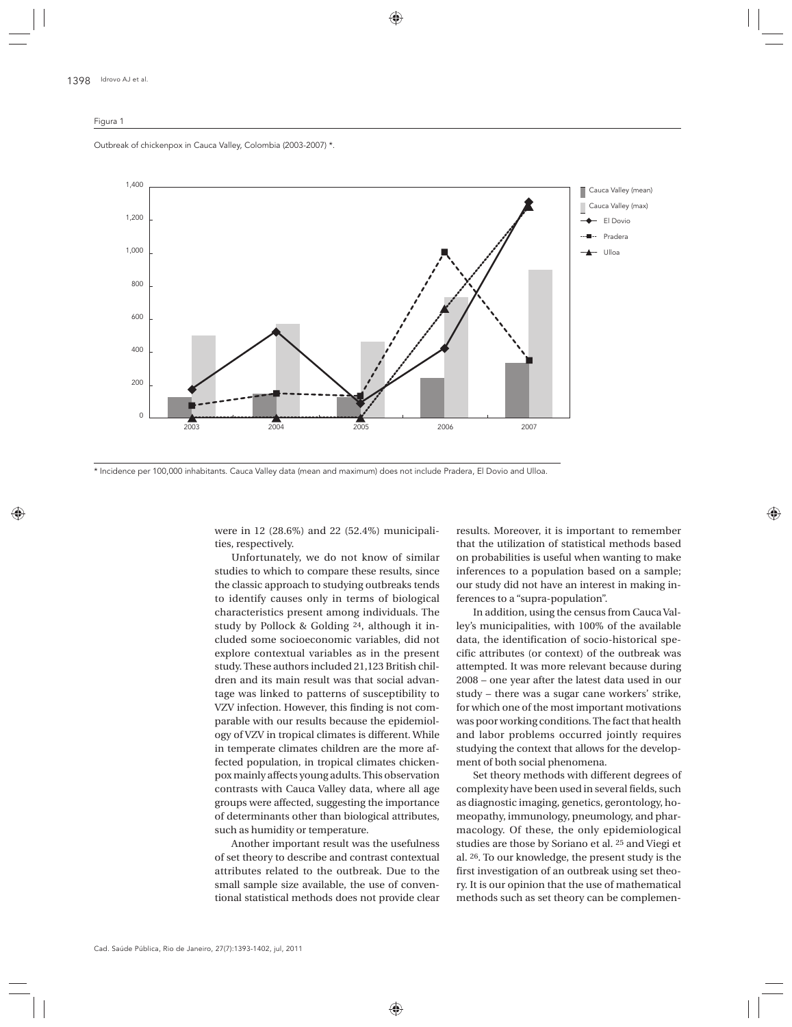#### Figura 1

Outbreak of chickenpox in Cauca Valley, Colombia (2003-2007) \*.



\* Incidence per 100,000 inhabitants. Cauca Valley data (mean and maximum) does not include Pradera, El Dovio and Ulloa.

were in 12 (28.6%) and 22 (52.4%) municipalities, respectively.

Unfortunately, we do not know of similar studies to which to compare these results, since the classic approach to studying outbreaks tends to identify causes only in terms of biological characteristics present among individuals. The study by Pollock & Golding 24, although it included some socioeconomic variables, did not explore contextual variables as in the present study. These authors included 21,123 British children and its main result was that social advantage was linked to patterns of susceptibility to VZV infection. However, this finding is not comparable with our results because the epidemiology of VZV in tropical climates is different. While in temperate climates children are the more affected population, in tropical climates chickenpox mainly affects young adults. This observation contrasts with Cauca Valley data, where all age groups were affected, suggesting the importance of determinants other than biological attributes, such as humidity or temperature.

Another important result was the usefulness of set theory to describe and contrast contextual attributes related to the outbreak. Due to the small sample size available, the use of conventional statistical methods does not provide clear

results. Moreover, it is important to remember that the utilization of statistical methods based on probabilities is useful when wanting to make inferences to a population based on a sample; our study did not have an interest in making inferences to a "supra-population".

In addition, using the census from Cauca Valley's municipalities, with 100% of the available data, the identification of socio-historical specific attributes (or context) of the outbreak was attempted. It was more relevant because during 2008 – one year after the latest data used in our study – there was a sugar cane workers' strike, for which one of the most important motivations was poor working conditions. The fact that health and labor problems occurred jointly requires studying the context that allows for the development of both social phenomena.

Set theory methods with different degrees of complexity have been used in several fields, such as diagnostic imaging, genetics, gerontology, homeopathy, immunology, pneumology, and pharmacology. Of these, the only epidemiological studies are those by Soriano et al. 25 and Viegi et al. 26. To our knowledge, the present study is the first investigation of an outbreak using set theory. It is our opinion that the use of mathematical methods such as set theory can be complemen-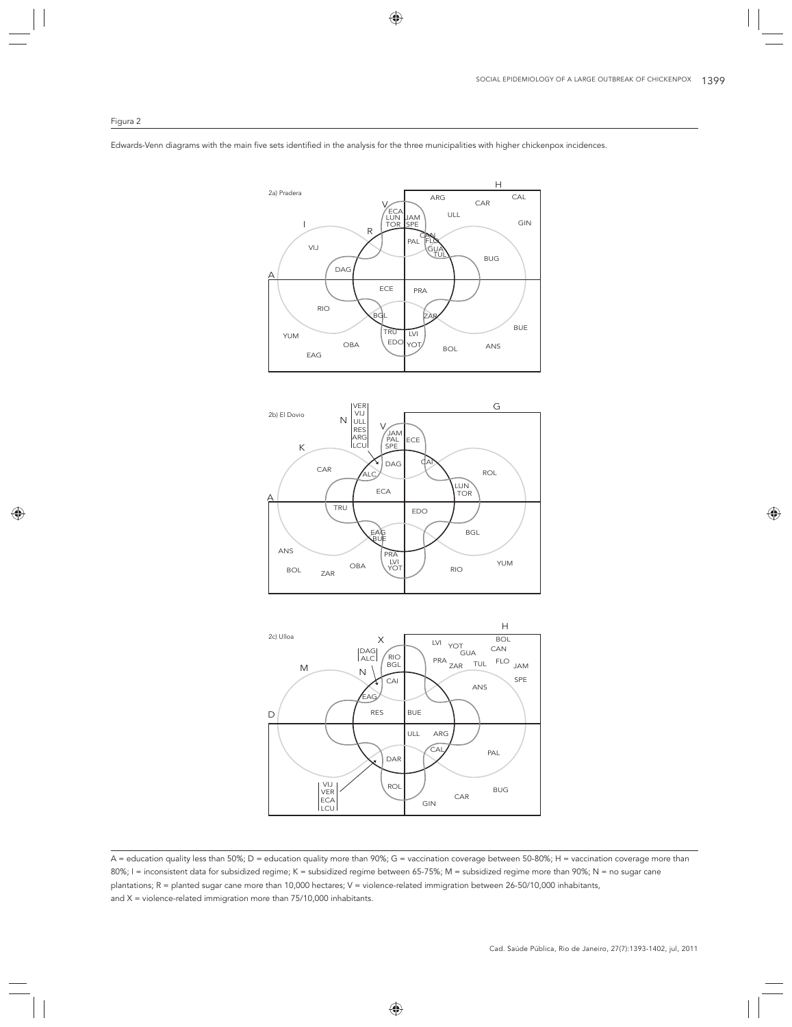#### Figura 2

Edwards-Venn diagrams with the main five sets identified in the analysis for the three municipalities with higher chickenpox incidences.







A = education quality less than 50%; D = education quality more than 90%; G = vaccination coverage between 50-80%; H = vaccination coverage more than 80%; I = inconsistent data for subsidized regime; K = subsidized regime between 65-75%; M = subsidized regime more than 90%; N = no sugar cane plantations; R = planted sugar cane more than 10,000 hectares; V = violence-related immigration between 26-50/10,000 inhabitants, and  $X =$  violence-related immigration more than  $75/10,000$  inhabitants.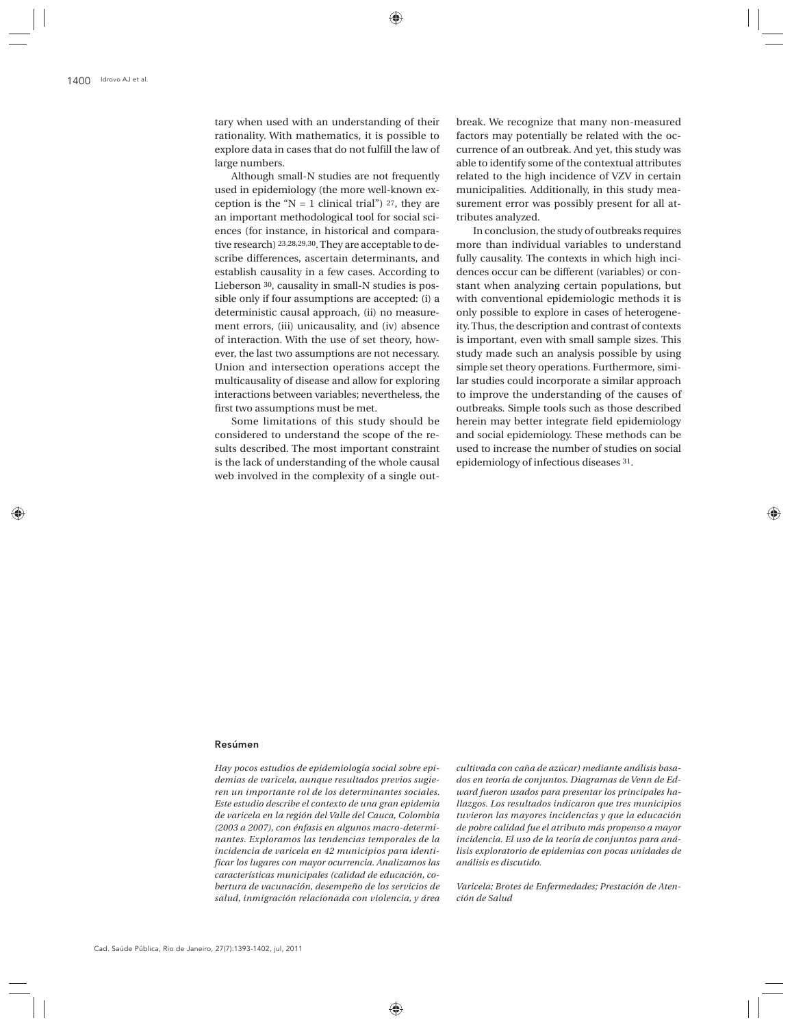tary when used with an understanding of their rationality. With mathematics, it is possible to explore data in cases that do not fulfill the law of large numbers.

Although small-N studies are not frequently used in epidemiology (the more well-known exception is the " $N = 1$  clinical trial") 27, they are an important methodological tool for social sciences (for instance, in historical and comparative research) 23,28,29,30. They are acceptable to describe differences, ascertain determinants, and establish causality in a few cases. According to Lieberson 30, causality in small-N studies is possible only if four assumptions are accepted: (i) a deterministic causal approach, (ii) no measurement errors, (iii) unicausality, and (iv) absence of interaction. With the use of set theory, however, the last two assumptions are not necessary. Union and intersection operations accept the multicausality of disease and allow for exploring interactions between variables; nevertheless, the first two assumptions must be met.

Some limitations of this study should be considered to understand the scope of the results described. The most important constraint is the lack of understanding of the whole causal web involved in the complexity of a single out-

break. We recognize that many non-measured factors may potentially be related with the occurrence of an outbreak. And yet, this study was able to identify some of the contextual attributes related to the high incidence of VZV in certain municipalities. Additionally, in this study measurement error was possibly present for all attributes analyzed.

In conclusion, the study of outbreaks requires more than individual variables to understand fully causality. The contexts in which high incidences occur can be different (variables) or constant when analyzing certain populations, but with conventional epidemiologic methods it is only possible to explore in cases of heterogeneity. Thus, the description and contrast of contexts is important, even with small sample sizes. This study made such an analysis possible by using simple set theory operations. Furthermore, similar studies could incorporate a similar approach to improve the understanding of the causes of outbreaks. Simple tools such as those described herein may better integrate field epidemiology and social epidemiology. These methods can be used to increase the number of studies on social epidemiology of infectious diseases 31.

#### Resúmen

*Hay pocos estudios de epidemiología social sobre epidemias de varicela, aunque resultados previos sugieren un importante rol de los determinantes sociales. Este estudio describe el contexto de una gran epidemia de varicela en la región del Valle del Cauca, Colombia (2003 a 2007), con énfasis en algunos macro-determinantes. Exploramos las tendencias temporales de la incidencia de varicela en 42 municipios para identificar los lugares con mayor ocurrencia. Analizamos las características municipales (calidad de educación, cobertura de vacunación, desempeño de los servicios de salud, inmigración relacionada con violencia, y área* 

*cultivada con caña de azúcar) mediante análisis basados en teoría de conjuntos. Diagramas de Venn de Edward fueron usados para presentar los principales hallazgos. Los resultados indicaron que tres municipios tuvieron las mayores incidencias y que la educación de pobre calidad fue el atributo más propenso a mayor incidencia. El uso de la teoría de conjuntos para análisis exploratorio de epidemias con pocas unidades de análisis es discutido.*

*Varicela; Brotes de Enfermedades; Prestación de Atención de Salud*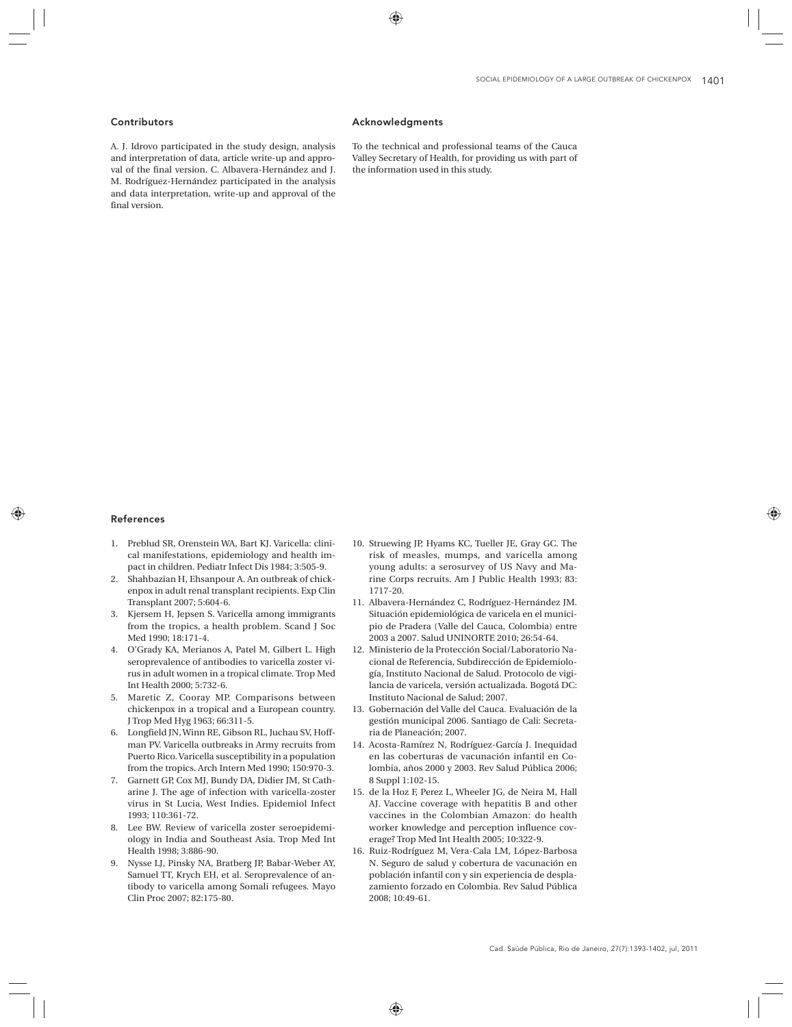## Contributors

A. J. Idrovo participated in the study design, analysis and interpretation of data, article write-up and approval of the final version. C. Albavera-Hernández and J. M. Rodríguez-Hernández participated in the analysis and data interpretation, write-up and approval of the final version.

#### Acknowledgments

To the technical and professional teams of the Cauca Valley Secretary of Health, for providing us with part of the information used in this study.

#### References

- 1. Preblud SR, Orenstein WA, Bart KJ. Varicella: clinical manifestations, epidemiology and health impact in children. Pediatr Infect Dis 1984; 3:505-9.
- 2. Shahbazian H, Ehsanpour A. An outbreak of chickenpox in adult renal transplant recipients. Exp Clin Transplant 2007; 5:604-6.
- 3. Kjersem H, Jepsen S. Varicella among immigrants from the tropics, a health problem. Scand J Soc Med 1990; 18:171-4.
- 4. O'Grady KA, Merianos A, Patel M, Gilbert L. High seroprevalence of antibodies to varicella zoster virus in adult women in a tropical climate. Trop Med Int Health 2000; 5:732-6.
- 5. Maretic Z, Cooray MP. Comparisons between chickenpox in a tropical and a European country. J Trop Med Hyg 1963; 66:311-5.
- 6. Longfield JN, Winn RE, Gibson RL, Juchau SV, Hoffman PV. Varicella outbreaks in Army recruits from Puerto Rico. Varicella susceptibility in a population from the tropics. Arch Intern Med 1990; 150:970-3.
- 7. Garnett GP, Cox MJ, Bundy DA, Didier JM, St Catharine J. The age of infection with varicella-zoster virus in St Lucia, West Indies. Epidemiol Infect 1993; 110:361-72.
- 8. Lee BW. Review of varicella zoster seroepidemiology in India and Southeast Asia. Trop Med Int Health 1998; 3:886-90.
- 9. Nysse LJ, Pinsky NA, Bratberg JP, Babar-Weber AY, Samuel TT, Krych EH, et al. Seroprevalence of antibody to varicella among Somali refugees. Mayo Clin Proc 2007; 82:175-80.
- 10. Struewing JP, Hyams KC, Tueller JE, Gray GC. The risk of measles, mumps, and varicella among young adults: a serosurvey of US Navy and Marine Corps recruits. Am J Public Health 1993; 83: 1717-20.
- 11. Albavera-Hernández C, Rodríguez-Hernández JM. Situación epidemiológica de varicela en el municipio de Pradera (Valle del Cauca, Colombia) entre 2003 a 2007. Salud UNINORTE 2010; 26:54-64.
- 12. Ministerio de la Protección Social/Laboratorio Nacional de Referencia, Subdirección de Epidemiología, Instituto Nacional de Salud. Protocolo de vigilancia de varicela, versión actualizada. Bogotá DC: Instituto Nacional de Salud; 2007.
- 13. Gobernación del Valle del Cauca. Evaluación de la gestión municipal 2006. Santiago de Cali: Secretaria de Planeación; 2007.
- 14. Acosta-Ramírez N, Rodríguez-García J. Inequidad en las coberturas de vacunación infantil en Colombia, años 2000 y 2003. Rev Salud Pública 2006; 8 Suppl 1:102-15.
- 15. de la Hoz F, Perez L, Wheeler JG, de Neira M, Hall AJ. Vaccine coverage with hepatitis B and other vaccines in the Colombian Amazon: do health worker knowledge and perception influence coverage? Trop Med Int Health 2005; 10:322-9.
- 16. Ruiz-Rodríguez M, Vera-Cala LM, López-Barbosa N. Seguro de salud y cobertura de vacunación en población infantil con y sin experiencia de desplazamiento forzado en Colombia. Rev Salud Pública 2008; 10:49-61.